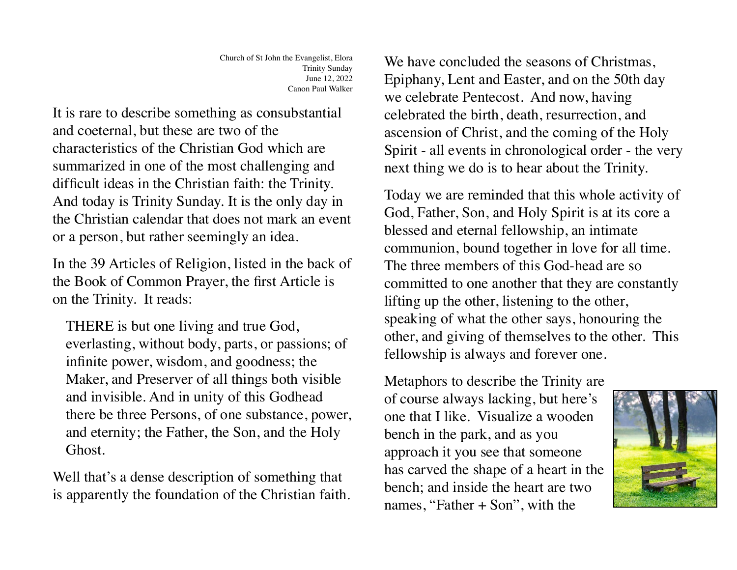It is rare to describe something as consubstantial and coeternal, but these are two of the characteristics of the Christian God which are summarized in one of the most challenging and difficult ideas in the Christian faith: the Trinity. And today is Trinity Sunday. It is the only day in the Christian calendar that does not mark an event or a person, but rather seemingly an idea.

In the 39 Articles of Religion, listed in the back of the Book of Common Prayer, the first Article is on the Trinity. It reads:

THERE is but one living and true God, everlasting, without body, parts, or passions; of infinite power, wisdom, and goodness; the Maker, and Preserver of all things both visible and invisible. And in unity of this Godhead there be three Persons, of one substance, power, and eternity; the Father, the Son, and the Holy Ghost.

Well that's a dense description of something that is apparently the foundation of the Christian faith. We have concluded the seasons of Christmas, Epiphany, Lent and Easter, and on the 50th day we celebrate Pentecost. And now, having celebrated the birth, death, resurrection, and ascension of Christ, and the coming of the Holy Spirit - all events in chronological order - the very next thing we do is to hear about the Trinity.

Today we are reminded that this whole activity of God, Father, Son, and Holy Spirit is at its core a blessed and eternal fellowship, an intimate communion, bound together in love for all time. The three members of this God-head are so committed to one another that they are constantly lifting up the other, listening to the other, speaking of what the other says, honouring the other, and giving of themselves to the other. This fellowship is always and forever one.

Metaphors to describe the Trinity are of course always lacking, but here's one that I like. Visualize a wooden bench in the park, and as you approach it you see that someone has carved the shape of a heart in the bench; and inside the heart are two names, "Father + Son", with the